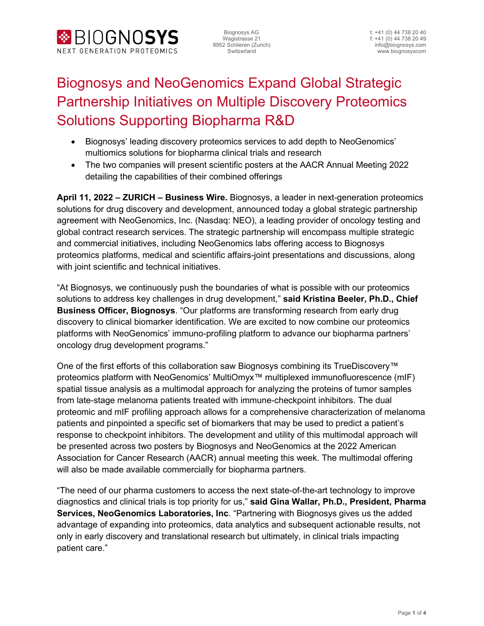

# Biognosys and NeoGenomics Expand Global Strategic Partnership Initiatives on Multiple Discovery Proteomics Solutions Supporting Biopharma R&D

- Biognosys' leading discovery proteomics services to add depth to NeoGenomics' multiomics solutions for biopharma clinical trials and research
- The two companies will present scientific posters at the AACR Annual Meeting 2022 detailing the capabilities of their combined offerings

**April 11, 2022 – ZURICH – Business Wire.** Biognosys, a leader in next-generation proteomics solutions for drug discovery and development, announced today a global strategic partnership agreement with NeoGenomics, Inc. (Nasdaq: NEO), a leading provider of oncology testing and global contract research services. The strategic partnership will encompass multiple strategic and commercial initiatives, including NeoGenomics labs offering access to Biognosys proteomics platforms, medical and scientific affairs-joint presentations and discussions, along with joint scientific and technical initiatives.

"At Biognosys, we continuously push the boundaries of what is possible with our proteomics solutions to address key challenges in drug development," **said Kristina Beeler, Ph.D., Chief Business Officer, Biognosys**. "Our platforms are transforming research from early drug discovery to clinical biomarker identification. We are excited to now combine our proteomics platforms with NeoGenomics' immuno-profiling platform to advance our biopharma partners' oncology drug development programs."

One of the first efforts of this collaboration saw Biognosys combining its TrueDiscovery™ proteomics platform with NeoGenomics' MultiOmyx<sup>™</sup> multiplexed immunofluorescence (mIF) spatial tissue analysis as a multimodal approach for analyzing the proteins of tumor samples from late-stage melanoma patients treated with immune-checkpoint inhibitors. The dual proteomic and mIF profiling approach allows for a comprehensive characterization of melanoma patients and pinpointed a specific set of biomarkers that may be used to predict a patient's response to checkpoint inhibitors. The development and utility of this multimodal approach will be presented across two posters by Biognosys and NeoGenomics at the 2022 American Association for Cancer Research (AACR) annual meeting this week. The multimodal offering will also be made available commercially for biopharma partners.

"The need of our pharma customers to access the next state-of-the-art technology to improve diagnostics and clinical trials is top priority for us," **said Gina Wallar, Ph.D., President, Pharma Services, NeoGenomics Laboratories, Inc**. "Partnering with Biognosys gives us the added advantage of expanding into proteomics, data analytics and subsequent actionable results, not only in early discovery and translational research but ultimately, in clinical trials impacting patient care."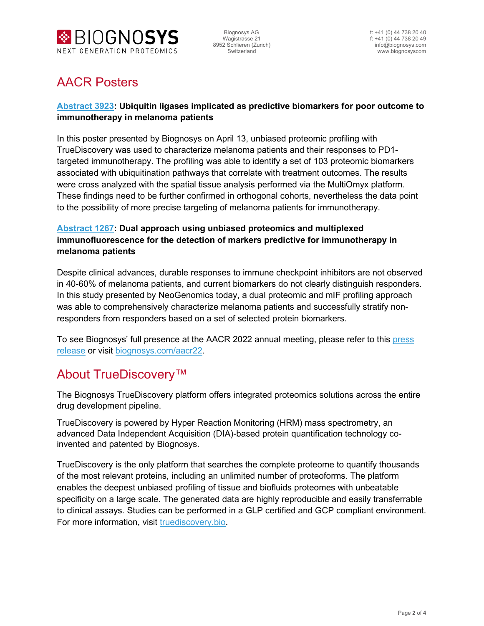

# AACR Posters

#### **[Abstract 3923:](https://www.abstractsonline.com/pp8/#!/10517/presentation/12431) Ubiquitin ligases implicated as predictive biomarkers for poor outcome to immunotherapy in melanoma patients**

In this poster presented by Biognosys on April 13, unbiased proteomic profiling with TrueDiscovery was used to characterize melanoma patients and their responses to PD1 targeted immunotherapy. The profiling was able to identify a set of 103 proteomic biomarkers associated with ubiquitination pathways that correlate with treatment outcomes. The results were cross analyzed with the spatial tissue analysis performed via the MultiOmyx platform. These findings need to be further confirmed in orthogonal cohorts, nevertheless the data point to the possibility of more precise targeting of melanoma patients for immunotherapy.

### **[Abstract 1267:](https://www.abstractsonline.com/pp8/#!/10517/presentation/12683) Dual approach using unbiased proteomics and multiplexed immunofluorescence for the detection of markers predictive for immunotherapy in melanoma patients**

Despite clinical advances, durable responses to immune checkpoint inhibitors are not observed in 40-60% of melanoma patients, and current biomarkers do not clearly distinguish responders. In this study presented by NeoGenomics today, a dual proteomic and mIF profiling approach was able to comprehensively characterize melanoma patients and successfully stratify nonresponders from responders based on a set of selected protein biomarkers.

To see Biognosys' full presence at the AACR 2022 annual meeting, please refer to this [press](https://www.businesswire.com/news/home/20220331005060/en)  [release](https://www.businesswire.com/news/home/20220331005060/en) or visit [biognosys.com/aacr22.](https://biognosys.com/aacr22)

# About TrueDiscovery™

The Biognosys TrueDiscovery platform offers integrated proteomics solutions across the entire drug development pipeline.

TrueDiscovery is powered by Hyper Reaction Monitoring (HRM) mass spectrometry, an advanced Data Independent Acquisition (DIA)-based protein quantification technology coinvented and patented by Biognosys.

TrueDiscovery is the only platform that searches the complete proteome to quantify thousands of the most relevant proteins, including an unlimited number of proteoforms. The platform enables the deepest unbiased profiling of tissue and biofluids proteomes with unbeatable specificity on a large scale. The generated data are highly reproducible and easily transferrable to clinical assays. Studies can be performed in a GLP certified and GCP compliant environment. For more information, visit [truediscovery.bio.](http://truediscovery.bio/)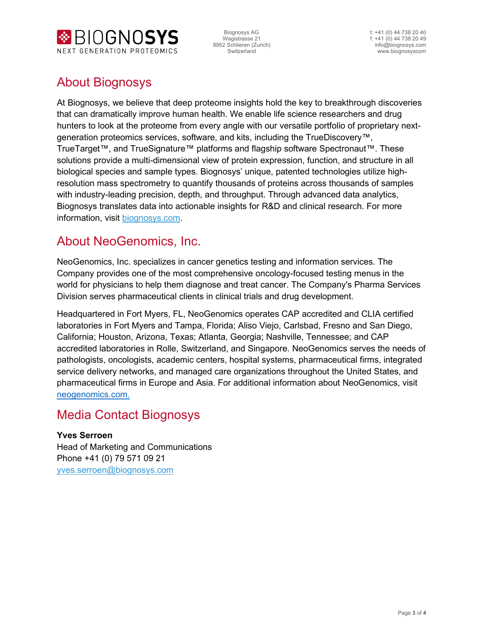

# About Biognosys

At Biognosys, we believe that deep proteome insights hold the key to breakthrough discoveries that can dramatically improve human health. We enable life science researchers and drug hunters to look at the proteome from every angle with our versatile portfolio of proprietary nextgeneration proteomics services, software, and kits, including the TrueDiscovery™, TrueTarget™, and TrueSignature™ platforms and flagship software Spectronaut™. These solutions provide a multi-dimensional view of protein expression, function, and structure in all biological species and sample types. Biognosys' unique, patented technologies utilize highresolution mass spectrometry to quantify thousands of proteins across thousands of samples with industry-leading precision, depth, and throughput. Through advanced data analytics, Biognosys translates data into actionable insights for R&D and clinical research. For more information, visit [biognosys.com.](https://biognosys.com/)

### About NeoGenomics, Inc.

NeoGenomics, Inc. specializes in cancer genetics testing and information services. The Company provides one of the most comprehensive oncology-focused testing menus in the world for physicians to help them diagnose and treat cancer. The Company's Pharma Services Division serves pharmaceutical clients in clinical trials and drug development.

Headquartered in Fort Myers, FL, NeoGenomics operates CAP accredited and CLIA certified laboratories in Fort Myers and Tampa, Florida; Aliso Viejo, Carlsbad, Fresno and San Diego, California; Houston, Arizona, Texas; Atlanta, Georgia; Nashville, Tennessee; and CAP accredited laboratories in Rolle, Switzerland, and Singapore. NeoGenomics serves the needs of pathologists, oncologists, academic centers, hospital systems, pharmaceutical firms, integrated service delivery networks, and managed care organizations throughout the United States, and pharmaceutical firms in Europe and Asia. For additional information about NeoGenomics, visit [neogenomics.com.](https://neogenomics.com/)

### Media Contact Biognosys

#### **Yves Serroen**

Head of Marketing and Communications Phone +41 (0) 79 571 09 21 [yves.serroen@biognosys.com](mailto:mailtoyves.serroen@biognosys.com)